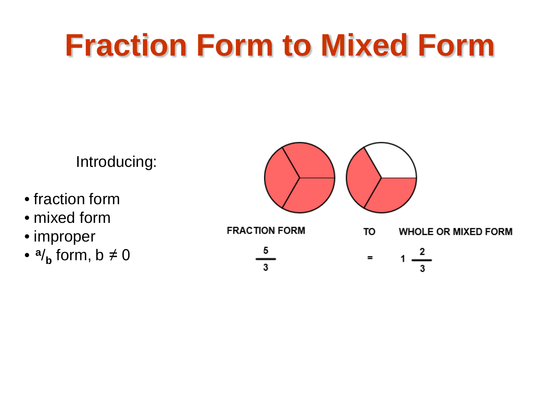Introducing:

- fraction form
- mixed form
- improper
- $a/\mathbf{b}$  form,  $b \neq 0$

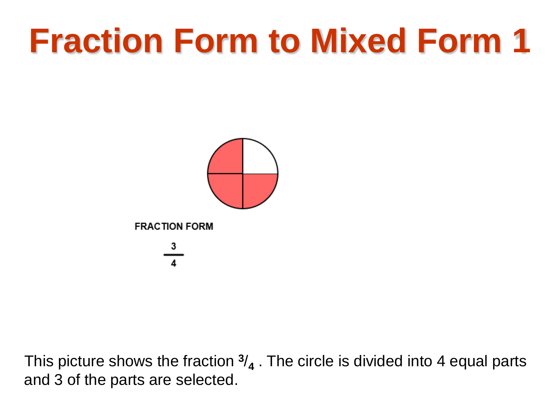

This picture shows the fraction **<sup>3</sup>**/**<sup>4</sup>** . The circle is divided into 4 equal parts and 3 of the parts are selected.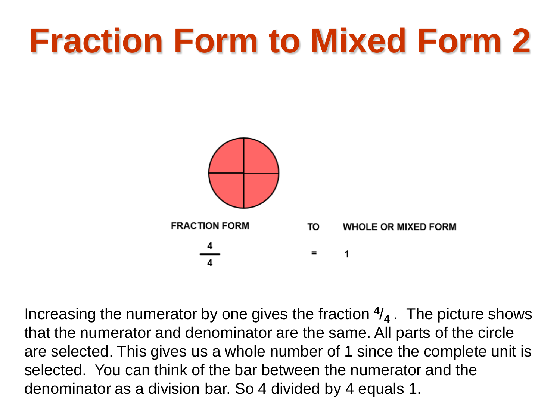

Increasing the numerator by one gives the fraction **<sup>4</sup>**/**<sup>4</sup>** . The picture shows that the numerator and denominator are the same. All parts of the circle are selected. This gives us a whole number of 1 since the complete unit is selected. You can think of the bar between the numerator and the denominator as a division bar. So 4 divided by 4 equals 1.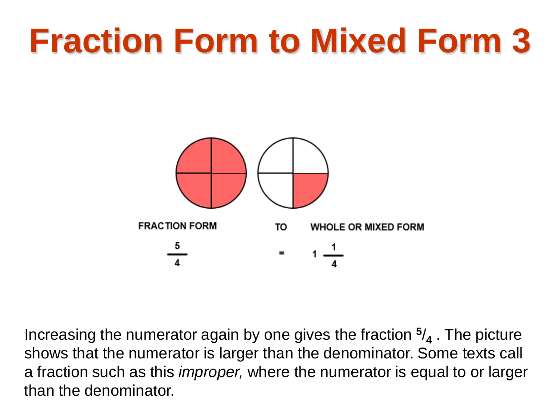

Increasing the numerator again by one gives the fraction **<sup>5</sup>**/**<sup>4</sup>** . The picture shows that the numerator is larger than the denominator. Some texts call a fraction such as this *improper,* where the numerator is equal to or larger than the denominator.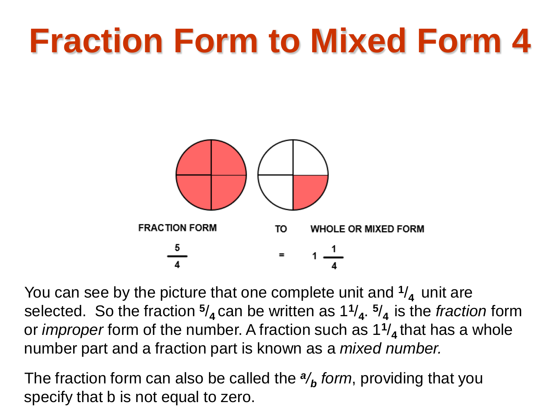

You can see by the picture that one complete unit and **<sup>1</sup>**/**4** unit are selected. So the fraction **<sup>5</sup>**/**4** can be written as 1**<sup>1</sup>**/**4**. **<sup>5</sup>**/**4** is the *fraction* form or *improper* form of the number. A fraction such as 1**<sup>1</sup>**/**4** that has a whole number part and a fraction part is known as a *mixed number.*

The fraction form can also be called the *<sup>a</sup>/<sup>b</sup> form*, providing that you specify that b is not equal to zero.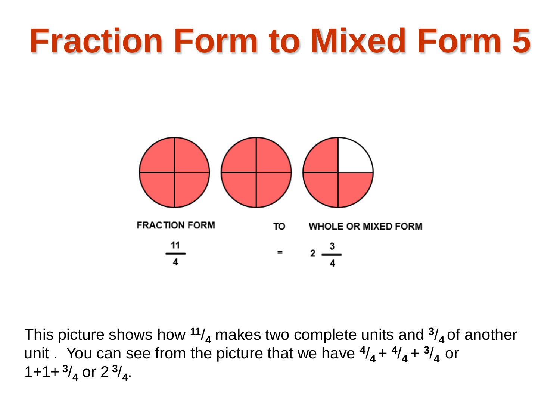

This picture shows how **<sup>11</sup>**/**<sup>4</sup>** makes two complete units and **<sup>3</sup>**/**4** of another unit You can see from the picture that we have  $\frac{4}{4} + \frac{4}{4} + \frac{3}{4}$  or  $1+1+3/4$  or  $2^3/4$ .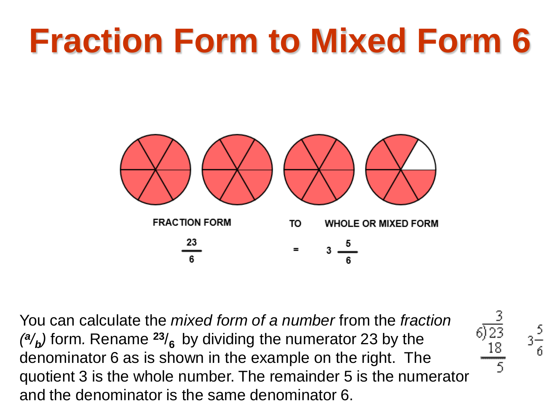

You can calculate the *mixed form of a number* from the *fraction*   $\binom{a}{b}$  form. Rename  $\binom{23}{6}$  by dividing the numerator 23 by the denominator 6 as is shown in the example on the right. The quotient 3 is the whole number. The remainder 5 is the numerator and the denominator is the same denominator 6.

$$
\begin{array}{c}\n3\frac{5}{6}\n\end{array}
$$

 $rac{3}{6}$ <br> $rac{3}{18}$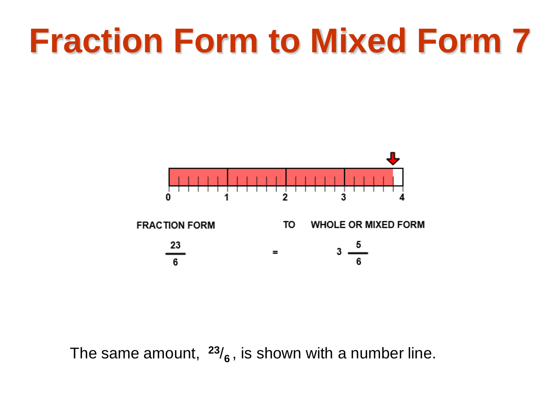

The same amount, **<sup>23</sup>**/**6** , is shown with a number line.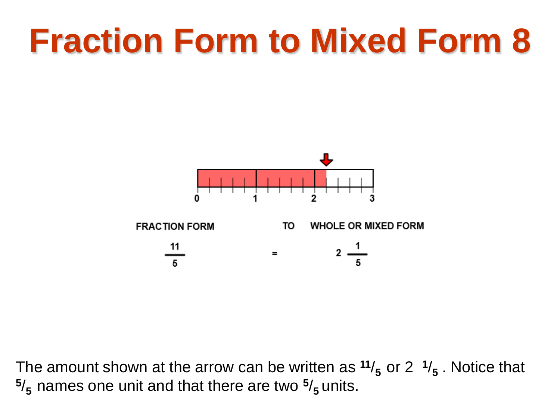

The amount shown at the arrow can be written as  $11/5$  or 2  $1/5$ . Notice that **<sup>5</sup>**/**5** names one unit and that there are two **<sup>5</sup>**/**5** units.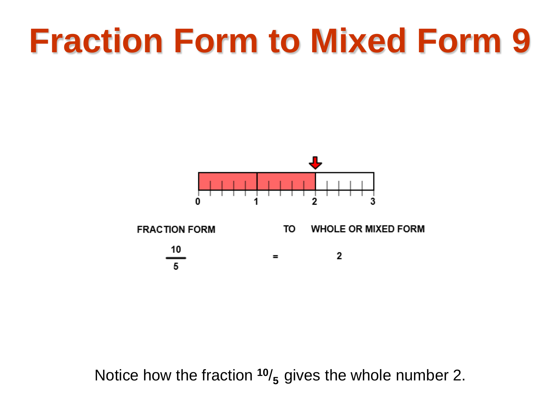

Notice how the fraction **<sup>10</sup>**/**5** gives the whole number 2.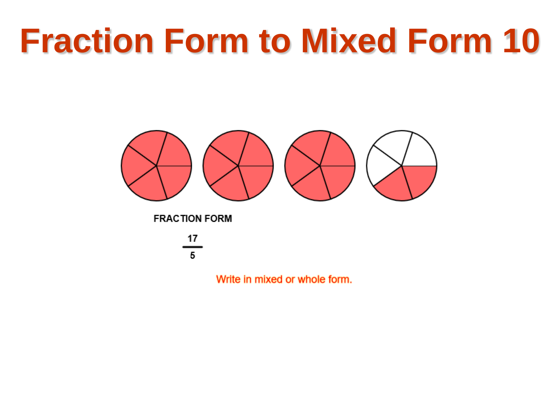

Write in mixed or whole form.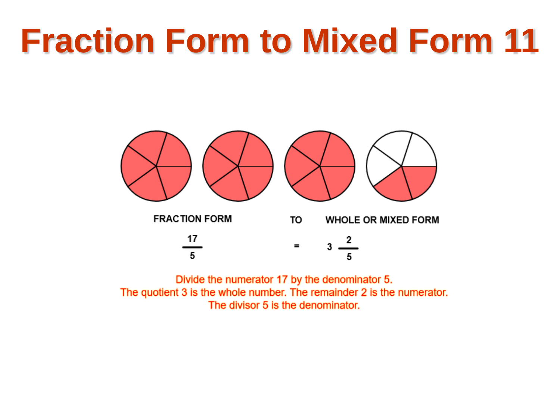

Divide the numerator 17 by the denominator 5. The quotient 3 is the whole number. The remainder 2 is the numerator. The divisor 5 is the denominator.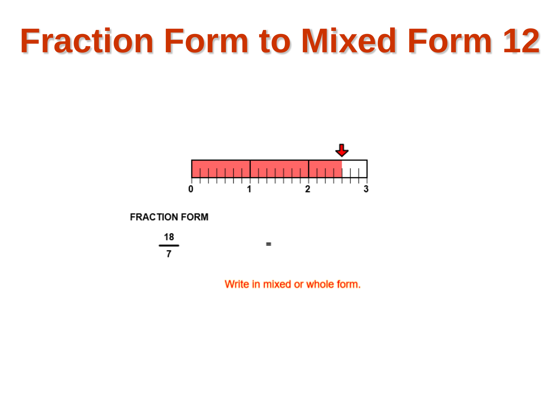

 $=$ 

**FRACTION FORM** 



Write in mixed or whole form.